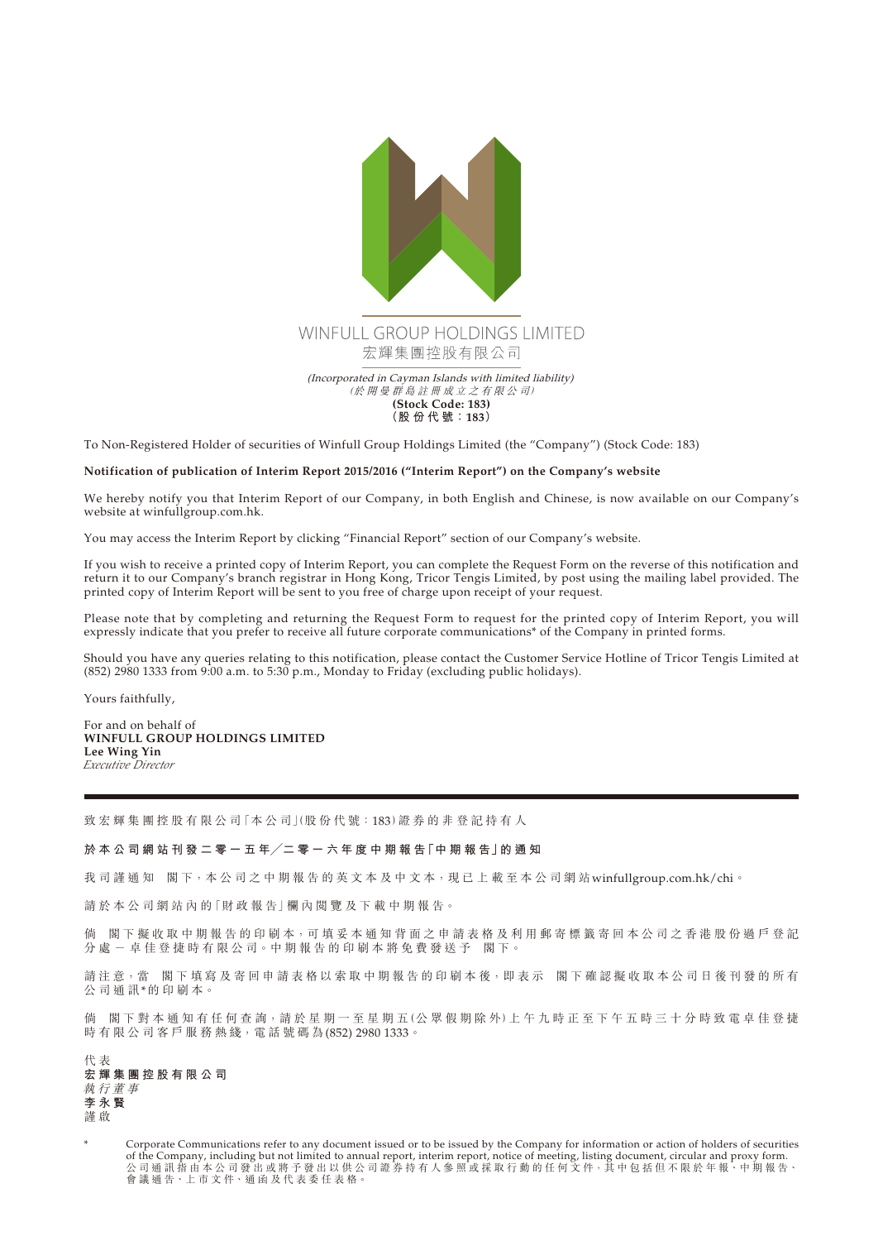

To Non-Registered Holder of securities of Winfull Group Holdings Limited (the "Company") (Stock Code: 183)

## **Notification of publication of Interim Report 2015/2016 ("Interim Report") on the Company's website**

We hereby notify you that Interim Report of our Company, in both English and Chinese, is now available on our Company's website at [winfullgroup.com.hk.](winfullgroup.com.hk)

You may access the Interim Report by clicking "Financial Report" section of our Company's website.

If you wish to receive a printed copy of Interim Report, you can complete the Request Form on the reverse of this notification and return it to our Company's branch registrar in Hong Kong, Tricor Tengis Limited, by post using the mailing label provided. The printed copy of Interim Report will be sent to you free of charge upon receipt of your request.

Please note that by completing and returning the Request Form to request for the printed copy of Interim Report, you will expressly indicate that you prefer to receive all future corporate communications\* of the Company in printed forms.

Should you have any queries relating to this notification, please contact the Customer Service Hotline of Tricor Tengis Limited at (852) 2980 1333 from 9:00 a.m. to 5:30 p.m., Monday to Friday (excluding public holidays).

Yours faithfully,

For and on behalf of **WINFULL GROUP HOLDINGS LIMITED Lee Wing Yin** *Executive Director*

致宏輝集團控股有限公司「本公司」(股份代號:183)證券的非登記持有人

## **於 本 公 司 網 站 刊 發 二 零 一 五 年╱二 零 一 六 年 度 中 期 報 告「中 期 報 告」的 通 知**

我司謹通知 閣下,本公司之中期報告的英文本及中文本,現已上載至本公司網站<winfullgroup.com.hk/chi>。

請於本公司網站內的「財政報告」欄內閲覽及下載中期報告。

倘 閣下擬收取中期報告的印刷本,可填妥本通知背面之申請表格及利用郵寄標籤寄回本公司之香港股份過戶登記 分處 一 卓 佳 登 捷 時 有 限 公 司 。中 期 報 告 的 印 刷 本 將 免 費 發 送 予 閣 下 。

請注意,當 閣下填寫及寄回申請表格以索取中期報告的印刷本後,即表示 閣下確認擬收取本公司日後刊發的所有 公司通訊\*的印刷本。

倘 閣下對本通知有任何查詢,請於星期一至星期五(公眾假期除外)上午九時正至下午五時三十分時致電卓佳登捷 時有限公司客戶服務熱綫,電話號碼為(852) 2980 1333。

代 表 **宏輝集團控股有限公司** 執行董事 **李永賢** 謹 啟

Corporate Communications refer to any document issued or to be issued by the Company for information or action of holders of securities of the Company, including but not limited to annual report, interim report, notice of meeting, listing document, circular and proxy form. 公 司 通 訊 指 由 本 公 司 發 出 或 將 予 發 出 以 供 公 司 證 券 持 有 人 參 照 或 採 取 行 動 的 任 何 文 件,其 中 包 括 但 不 限 於 年 報、中 期 報 告、 會 議 通 告、上 市 文 件、通 函 及 代 表 委 任 表 格。